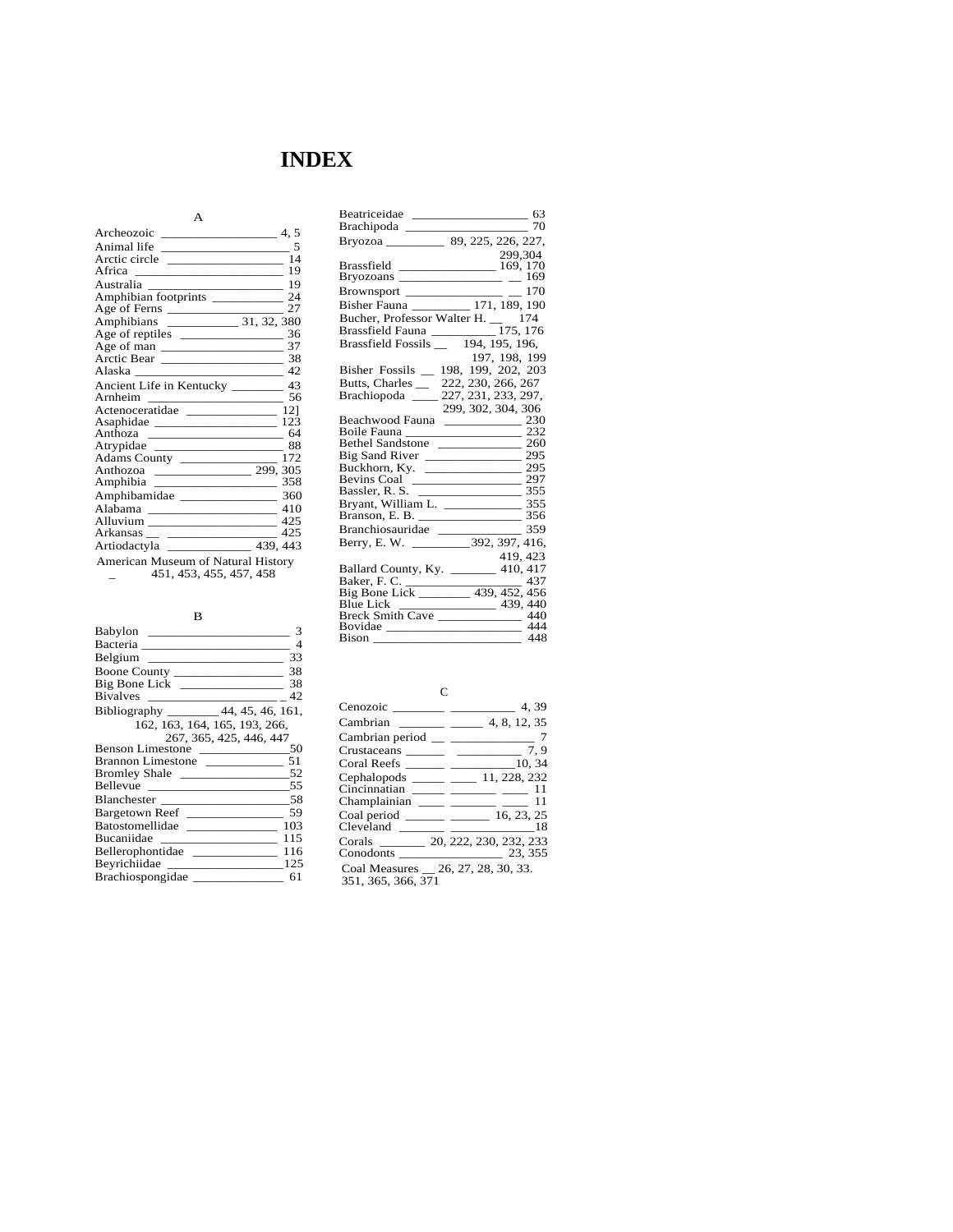# **INDEX**

| A                                     |      |
|---------------------------------------|------|
| Archeozoic                            | 4.5  |
|                                       |      |
| Arctic circle                         | 14   |
|                                       |      |
|                                       |      |
|                                       |      |
| Age of Ferns                          | - 27 |
|                                       |      |
|                                       |      |
|                                       |      |
|                                       |      |
|                                       |      |
| Ancient Life in Kentucky ________ 43  |      |
|                                       | - 56 |
|                                       |      |
|                                       |      |
|                                       |      |
|                                       |      |
| Adams County 272                      |      |
|                                       |      |
|                                       |      |
|                                       |      |
|                                       | 410  |
| Alluvium ______________________       | 425  |
|                                       | 425  |
| Artiodactyla _______________ 439, 443 |      |
| American Museum of Natural History    |      |
| 451, 453, 455, 457, 458               |      |

B

| Babylon                                                              | 3    |
|----------------------------------------------------------------------|------|
|                                                                      |      |
|                                                                      | 33   |
| Boone County                                                         | 38   |
|                                                                      | 38   |
| <b>Bivalves</b><br><u> 1980 - Johann Barn, fransk politik (d. 19</u> | 42   |
| Bibliography ________ 44, 45, 46, 161,                               |      |
| 162, 163, 164, 165, 193, 266,                                        |      |
| 267, 365, 425, 446, 447                                              |      |
| Benson Limestone                                                     | 50   |
| Brannon Limestone                                                    | 51   |
|                                                                      |      |
|                                                                      | - 55 |
| Blanchester 58                                                       |      |
| Bargetown Reef                                                       | 59   |
| Batostomellidae                                                      | 103  |
| Bucaniidae<br><u> 1989 - Andrea Stationer, Amerikaansk konst</u>     | 115  |
| Bellerophontidae                                                     | 116  |
|                                                                      | 125  |
| Brachiospongidae                                                     | 61   |

| Beatriceidae                                                            | 63     |
|-------------------------------------------------------------------------|--------|
| Brachipoda _____________                                                | 70     |
|                                                                         |        |
| 299,304                                                                 |        |
|                                                                         |        |
| Brassfield $\frac{277,337}{169,170}$<br>Bryozoans $\frac{169,170}{169}$ |        |
|                                                                         |        |
|                                                                         |        |
| Bucher, Professor Walter H. $\frac{174}{255}$                           |        |
|                                                                         |        |
| Brassfield Fauna 175, 176<br>Brassfield Fossils 194, 195, 196,          |        |
| 197, 198, 199                                                           |        |
| 198, 199, 202, 203<br>Bisher Fossils                                    |        |
| Butts, Charles _ 222, 230, 266, 267                                     |        |
| Brachiopoda ______ 227, 231, 233, 297,                                  |        |
| 299, 302, 304, 306                                                      |        |
|                                                                         |        |
|                                                                         |        |
|                                                                         |        |
|                                                                         |        |
|                                                                         |        |
| Bevins Coal 297                                                         |        |
|                                                                         |        |
|                                                                         |        |
|                                                                         |        |
| Branchiosauridae                                                        | $-359$ |
|                                                                         |        |
| 419, 423                                                                |        |
| Ballard County, Ky. ________ 410, 417                                   |        |
|                                                                         |        |
|                                                                         |        |
|                                                                         |        |
|                                                                         |        |
|                                                                         | 444    |
|                                                                         | 448    |

C

| Cenozoic                                           | 4.39         |
|----------------------------------------------------|--------------|
| Cambrian<br>the company of the company             | 4, 8, 12, 35 |
| Cambrian period                                    |              |
|                                                    | 7.9          |
|                                                    | 10.34        |
| $Cephalopods$ ________                             | 11, 228, 232 |
| Cincinnatian                                       | 11           |
| Champlainian                                       | 11           |
| $Coal period \_\_\_\_\_\_\_\_\_\_\_\_\_\_\_\_\_\_$ | 16, 23, 25   |
| Cleveland                                          | 18           |
| Corals 20, 222, 230, 232, 233                      |              |
| Conodonts                                          | 23, 355      |
| Coal Measures _ 26, 27, 28, 30, 33.                |              |
| 351, 365, 366, 371                                 |              |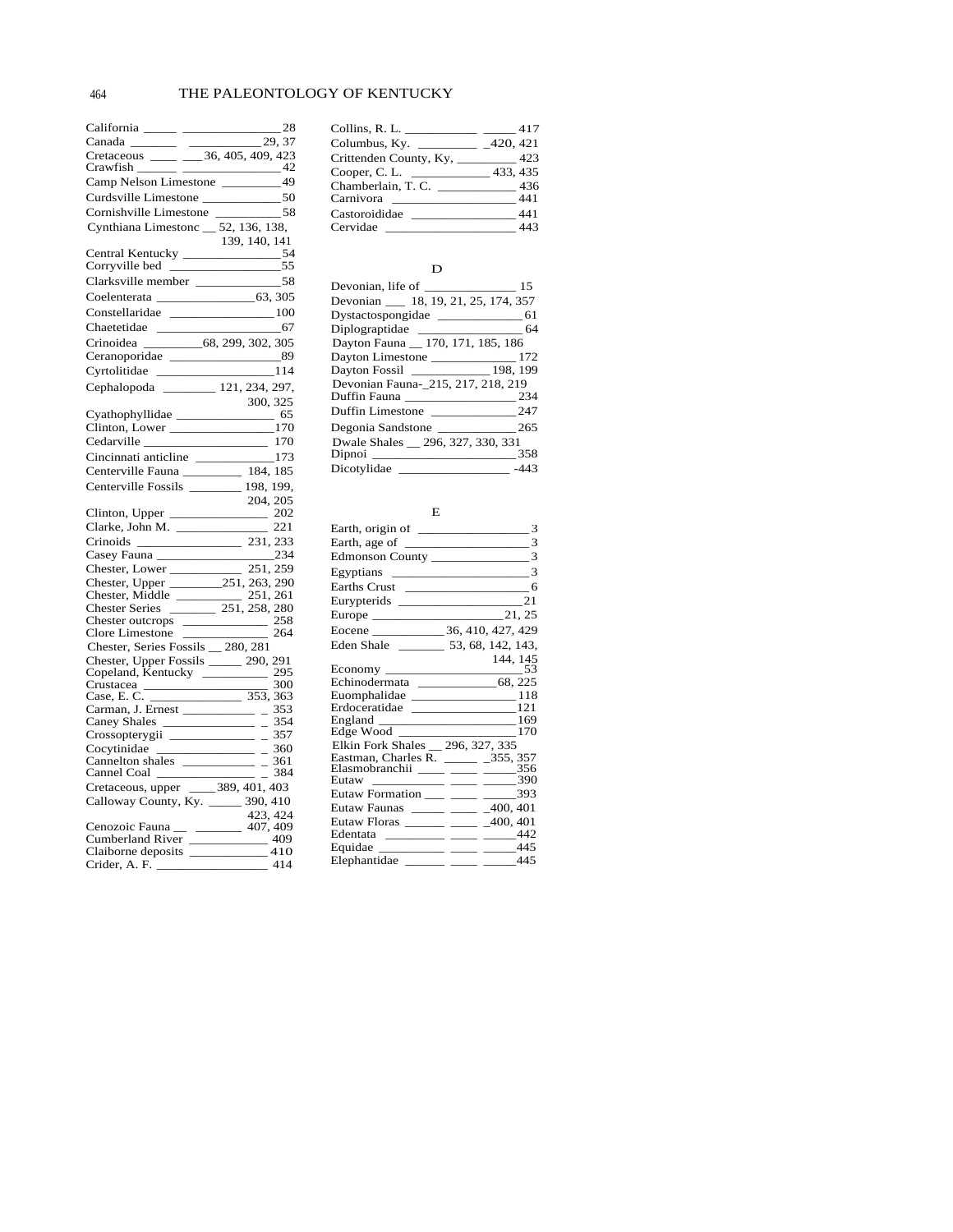| Crawfish<br>$\equiv$ $-$                                                                                                                                                                                                       | $-42$                    |
|--------------------------------------------------------------------------------------------------------------------------------------------------------------------------------------------------------------------------------|--------------------------|
| Camp Nelson Limestone ___________ 49                                                                                                                                                                                           |                          |
| Curdsville Limestone ______________50                                                                                                                                                                                          |                          |
|                                                                                                                                                                                                                                |                          |
| Cynthiana Limestonc _ 52, 136, 138,                                                                                                                                                                                            |                          |
|                                                                                                                                                                                                                                | 139, 140, 141            |
|                                                                                                                                                                                                                                |                          |
|                                                                                                                                                                                                                                |                          |
|                                                                                                                                                                                                                                |                          |
| Coelenterata 63, 305                                                                                                                                                                                                           |                          |
| Constellaridae ________________100                                                                                                                                                                                             |                          |
|                                                                                                                                                                                                                                |                          |
| Chaetetidae 67<br>Crinoidea 68, 299, 302, 305                                                                                                                                                                                  |                          |
| Ceranoporidae 89                                                                                                                                                                                                               |                          |
|                                                                                                                                                                                                                                |                          |
| Cyrtolitidae ___________________114                                                                                                                                                                                            |                          |
| Cephalopoda ________ 121, 234, 297,                                                                                                                                                                                            |                          |
| Cyathophyllidae $\frac{300,325}{65}$                                                                                                                                                                                           |                          |
|                                                                                                                                                                                                                                |                          |
| Clinton, Lower _________________170                                                                                                                                                                                            |                          |
|                                                                                                                                                                                                                                |                          |
|                                                                                                                                                                                                                                |                          |
| Centerville Fauna ____________ 184, 185                                                                                                                                                                                        |                          |
| Centerville Fossils _______ 198, 199,                                                                                                                                                                                          |                          |
|                                                                                                                                                                                                                                | 204, 205                 |
|                                                                                                                                                                                                                                |                          |
|                                                                                                                                                                                                                                |                          |
|                                                                                                                                                                                                                                |                          |
| Casey Fauna<br>Casey Fauna<br>Chester, Lower 251, 259<br>Chester, Upper 251, 263, 290<br>Chester, Middle 251, 263, 290<br>Chester Series 251, 258, 280<br>Chester outcrops 258<br>Clore Lineston Paula 280, 291<br>Clore Lines |                          |
|                                                                                                                                                                                                                                |                          |
|                                                                                                                                                                                                                                |                          |
|                                                                                                                                                                                                                                |                          |
|                                                                                                                                                                                                                                |                          |
|                                                                                                                                                                                                                                |                          |
| Chester, Series Fossils _ 280, 281                                                                                                                                                                                             |                          |
| Chester, Upper Fossils ______ 290, 291                                                                                                                                                                                         |                          |
|                                                                                                                                                                                                                                |                          |
|                                                                                                                                                                                                                                | 300                      |
| Copeland, Kentucky<br>Copeland, Kentucky<br>Crustacea 300<br>Case, E. C.                                                                                                                                                       |                          |
| Carman, J. Ernest                                                                                                                                                                                                              | $-353$                   |
| Caney Shales<br>$\overline{\phantom{a}}$                                                                                                                                                                                       | 354<br>$\frac{354}{357}$ |
| $\frac{1}{\sqrt{1-\frac{1}{2}}\sqrt{1-\frac{1}{2}}\sqrt{1-\frac{1}{2}}\sqrt{1-\frac{1}{2}}}}$                                                                                                                                  |                          |
| Cocytinidae $\frac{360}{24}$ = 360                                                                                                                                                                                             |                          |
|                                                                                                                                                                                                                                |                          |
|                                                                                                                                                                                                                                | 384                      |
|                                                                                                                                                                                                                                |                          |
|                                                                                                                                                                                                                                |                          |
|                                                                                                                                                                                                                                | 423, 424                 |
|                                                                                                                                                                                                                                |                          |
| Cumberland River 409<br>Claiborne deposits 410                                                                                                                                                                                 |                          |
| Crider, A. F. $\_\_\_\_\_\_\_\_\$                                                                                                                                                                                              | 414                      |

| Collins, R. L. _______          | 417      |
|---------------------------------|----------|
| Columbus, Ky. $\qquad \qquad$   | 420, 421 |
| Crittenden County, Ky, ________ | 423      |
| Cooper, C. L.                   | 433, 435 |
| Chamberlain, T. C.              | 436      |
| Carnivora                       | 441      |
| Castoroididae                   | 441      |
| Cervidae                        | 443      |

# $\mathbf D$

|                                        | 15     |
|----------------------------------------|--------|
| Devonian ____ 18, 19, 21, 25, 174, 357 |        |
| Dystactospongidae ____________         | 61     |
| Diplograptidae ________________        | 64     |
| Dayton Fauna 170, 171, 185, 186        |        |
|                                        | 172    |
| Dayton Fossil _______________ 198, 199 |        |
| Devonian Fauna-215, 217, 218, 219      |        |
| Duffin Fauna ________________          | 234    |
| Duffin Limestone ____________          | 247    |
| Degonia Sandstone ____________         | 265    |
| Dwale Shales 296, 327, 330, 331        |        |
| Dipnoi ____________                    | 358    |
| Dicotylidae __                         | $-443$ |

#### E

|                                      | 144, 145 |
|--------------------------------------|----------|
| Echinodermata ______________68, 225  |          |
| Euomphalidae _________________118    |          |
| Erdoceratidae ________________121    |          |
|                                      |          |
| Edge Wood ____________________170    |          |
| Elkin Fork Shales 296, 327, 335      |          |
| Eastman, Charles R. ______ _355, 357 |          |
| Elasmobranchii ____ ___ ____ 356     |          |
| Eutaw ____________ _____ ______ 390  |          |
| Eutaw Formation ___ ___ ____ 393     |          |
| Eutaw Faunas _____ ___ _400, 401     |          |
| Eutaw Floras ______ ____ _400, 401   |          |
| Edentata __________ _____ _____442   |          |
| Equidae ____________ _____ _____445  |          |
| Elephantidae ______ ____ ____445     |          |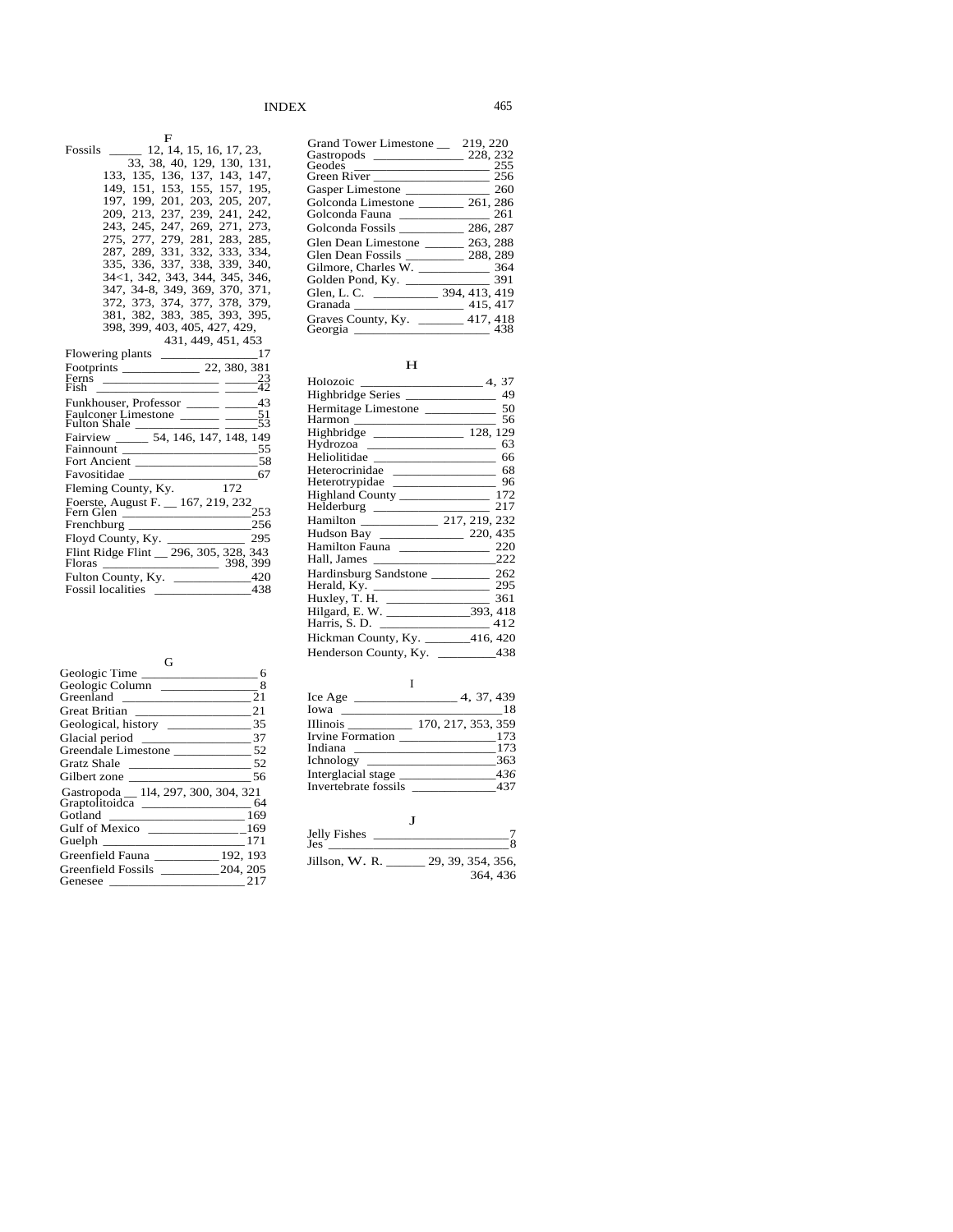| F                                                                                                                                                                                                                                                                                                                                                                                                                                                                                                                         |
|---------------------------------------------------------------------------------------------------------------------------------------------------------------------------------------------------------------------------------------------------------------------------------------------------------------------------------------------------------------------------------------------------------------------------------------------------------------------------------------------------------------------------|
| 12, 14, 15, 16, 17, 23,<br>Fossils                                                                                                                                                                                                                                                                                                                                                                                                                                                                                        |
| 33, 38, 40, 129, 130, 131,                                                                                                                                                                                                                                                                                                                                                                                                                                                                                                |
| 133, 135, 136, 137, 143, 147,                                                                                                                                                                                                                                                                                                                                                                                                                                                                                             |
| 149, 151, 153, 155, 157, 195,                                                                                                                                                                                                                                                                                                                                                                                                                                                                                             |
| 197, 199, 201, 203, 205, 207,                                                                                                                                                                                                                                                                                                                                                                                                                                                                                             |
| 209, 213, 237, 239, 241, 242,                                                                                                                                                                                                                                                                                                                                                                                                                                                                                             |
| 243, 245, 247, 269, 271, 273,                                                                                                                                                                                                                                                                                                                                                                                                                                                                                             |
| 275, 277, 279, 281, 283, 285,                                                                                                                                                                                                                                                                                                                                                                                                                                                                                             |
| 287, 289, 331, 332, 333, 334,                                                                                                                                                                                                                                                                                                                                                                                                                                                                                             |
| 335, 336, 337, 338, 339, 340,                                                                                                                                                                                                                                                                                                                                                                                                                                                                                             |
| 34<1, 342, 343, 344, 345, 346,                                                                                                                                                                                                                                                                                                                                                                                                                                                                                            |
| 347, 34-8, 349, 369, 370, 371,                                                                                                                                                                                                                                                                                                                                                                                                                                                                                            |
| 372, 373, 374, 377, 378,<br>379.                                                                                                                                                                                                                                                                                                                                                                                                                                                                                          |
| 381, 382, 383, 385, 393, 395,                                                                                                                                                                                                                                                                                                                                                                                                                                                                                             |
| 398, 399, 403, 405, 427, 429,                                                                                                                                                                                                                                                                                                                                                                                                                                                                                             |
| 431, 449, 451, 453                                                                                                                                                                                                                                                                                                                                                                                                                                                                                                        |
| 17                                                                                                                                                                                                                                                                                                                                                                                                                                                                                                                        |
|                                                                                                                                                                                                                                                                                                                                                                                                                                                                                                                           |
| Ferns<br>$^{23}_{42}$<br>Fish                                                                                                                                                                                                                                                                                                                                                                                                                                                                                             |
|                                                                                                                                                                                                                                                                                                                                                                                                                                                                                                                           |
| Funkhouser, Professor ______ _____43<br>51<br>Faulconer Limestone ______ __                                                                                                                                                                                                                                                                                                                                                                                                                                               |
| 53<br>Fulton Shale                                                                                                                                                                                                                                                                                                                                                                                                                                                                                                        |
| Fairview ______ 54, 146, 147, 148, 149                                                                                                                                                                                                                                                                                                                                                                                                                                                                                    |
| 55                                                                                                                                                                                                                                                                                                                                                                                                                                                                                                                        |
| Fort Ancient<br>58                                                                                                                                                                                                                                                                                                                                                                                                                                                                                                        |
| 67                                                                                                                                                                                                                                                                                                                                                                                                                                                                                                                        |
| 172<br>Fleming County, Ky.                                                                                                                                                                                                                                                                                                                                                                                                                                                                                                |
| Foerste, August F. _ 167, 219, 232                                                                                                                                                                                                                                                                                                                                                                                                                                                                                        |
| 253<br>Fern Glen                                                                                                                                                                                                                                                                                                                                                                                                                                                                                                          |
| 256                                                                                                                                                                                                                                                                                                                                                                                                                                                                                                                       |
| Floyd County, Ky.<br>295                                                                                                                                                                                                                                                                                                                                                                                                                                                                                                  |
| Flint Ridge Flint _ 296, 305, 328,<br>343                                                                                                                                                                                                                                                                                                                                                                                                                                                                                 |
|                                                                                                                                                                                                                                                                                                                                                                                                                                                                                                                           |
| Fulton County, Ky. $\_\_420$                                                                                                                                                                                                                                                                                                                                                                                                                                                                                              |
| 438<br><b>Fossil</b> localities<br>$\begin{array}{cccccccccc} \multicolumn{2}{c}{} & \multicolumn{2}{c}{} & \multicolumn{2}{c}{} & \multicolumn{2}{c}{} & \multicolumn{2}{c}{} & \multicolumn{2}{c}{} & \multicolumn{2}{c}{} & \multicolumn{2}{c}{} & \multicolumn{2}{c}{} & \multicolumn{2}{c}{} & \multicolumn{2}{c}{} & \multicolumn{2}{c}{} & \multicolumn{2}{c}{} & \multicolumn{2}{c}{} & \multicolumn{2}{c}{} & \multicolumn{2}{c}{} & \multicolumn{2}{c}{} & \multicolumn{2}{c}{} & \multicolumn{2}{c}{} & \mult$ |

| ſì                                                                                                                                                                                                                                                     |  |
|--------------------------------------------------------------------------------------------------------------------------------------------------------------------------------------------------------------------------------------------------------|--|
| Geologic Time                                                                                                                                                                                                                                          |  |
| Geologic Column<br>8                                                                                                                                                                                                                                   |  |
| Greenland<br>21                                                                                                                                                                                                                                        |  |
| 21                                                                                                                                                                                                                                                     |  |
| 35                                                                                                                                                                                                                                                     |  |
| 37                                                                                                                                                                                                                                                     |  |
|                                                                                                                                                                                                                                                        |  |
| - 52<br>Gratz Shale                                                                                                                                                                                                                                    |  |
| 56<br>Gilbert zone                                                                                                                                                                                                                                     |  |
| Gastropoda _ 114, 297, 300, 304, 321                                                                                                                                                                                                                   |  |
| 64                                                                                                                                                                                                                                                     |  |
| 169<br>Gotland<br><u> Alexandro Alexandro Alexandro Alexandro Alexandro Alexandro Alexandro Alexandro Alexandro Alexandro Alexandro Alexandro Alexandro Alexandro Alexandro Alexandro Alexandro Alexandro Alexandro Alexandro Alexandro Alexandro </u> |  |
|                                                                                                                                                                                                                                                        |  |
| 171                                                                                                                                                                                                                                                    |  |
| Greenfield Fauna 192, 193                                                                                                                                                                                                                              |  |
| Greenfield Fossils 204, 205                                                                                                                                                                                                                            |  |
| 21'<br>Genesee<br><u> 1980 - Andrea Andrew Maria (</u>                                                                                                                                                                                                 |  |

| <b>Grand Tower Limestone</b>                | 219, 220      |
|---------------------------------------------|---------------|
|                                             | 228, 232      |
| Geodes<br>the control of the control of the | 255           |
|                                             | 256           |
| Gasper Limestone                            | 260           |
| Golconda Limestone                          | 261, 286      |
| Golconda Fauna <b>Exercía de Sol</b>        | 261           |
| Golconda Fossils                            | 286, 287      |
| Glen Dean Limestone                         | 263, 288      |
| Glen Dean Fossils                           | 288, 289      |
| Gilmore. Charles W.                         | 364           |
| Golden Pond, Ky.                            | 391           |
| Glen. L. C.                                 | 394, 413, 419 |
| Granada                                     | 415, 417      |
| Graves County, Ky.<br>Georgia               | 417, 418      |
|                                             |               |

# H

| Holozoic                               | 4, 37      |
|----------------------------------------|------------|
| Highbridge Series ________________     | 49         |
| Hermitage Limestone                    | 50         |
|                                        | 56         |
| Highbridge __________________ 128, 129 |            |
| Hydrozoa                               | 63         |
|                                        |            |
| Heterocrinidae ________________        | 68         |
| Heterotrypidae _______________         | 96         |
|                                        |            |
| Helderburg _________________           | 217        |
|                                        |            |
|                                        |            |
| Hamilton Fauna _______________         | 220        |
|                                        | - 222      |
|                                        |            |
| Herald, Ky. ____________________       | -295       |
| Huxley, T. H. $\qquad$                 | 361        |
|                                        |            |
|                                        | 412        |
| Hickman County, Ky.                    | $-416,420$ |
| Henderson County, Ky.                  | 438        |
|                                        |            |

# I

| 4, 37, 439         |
|--------------------|
| 18                 |
| 170, 217, 353, 359 |
| 173                |
| 173                |
| 363                |
| 436                |
| 437                |
|                    |

| Jelly Fishes<br>$\text{Jes}$ $\overline{\phantom{a}}$ |                   |
|-------------------------------------------------------|-------------------|
| Jillson, W. R.                                        | 29, 39, 354, 356, |
|                                                       | 364, 436          |

J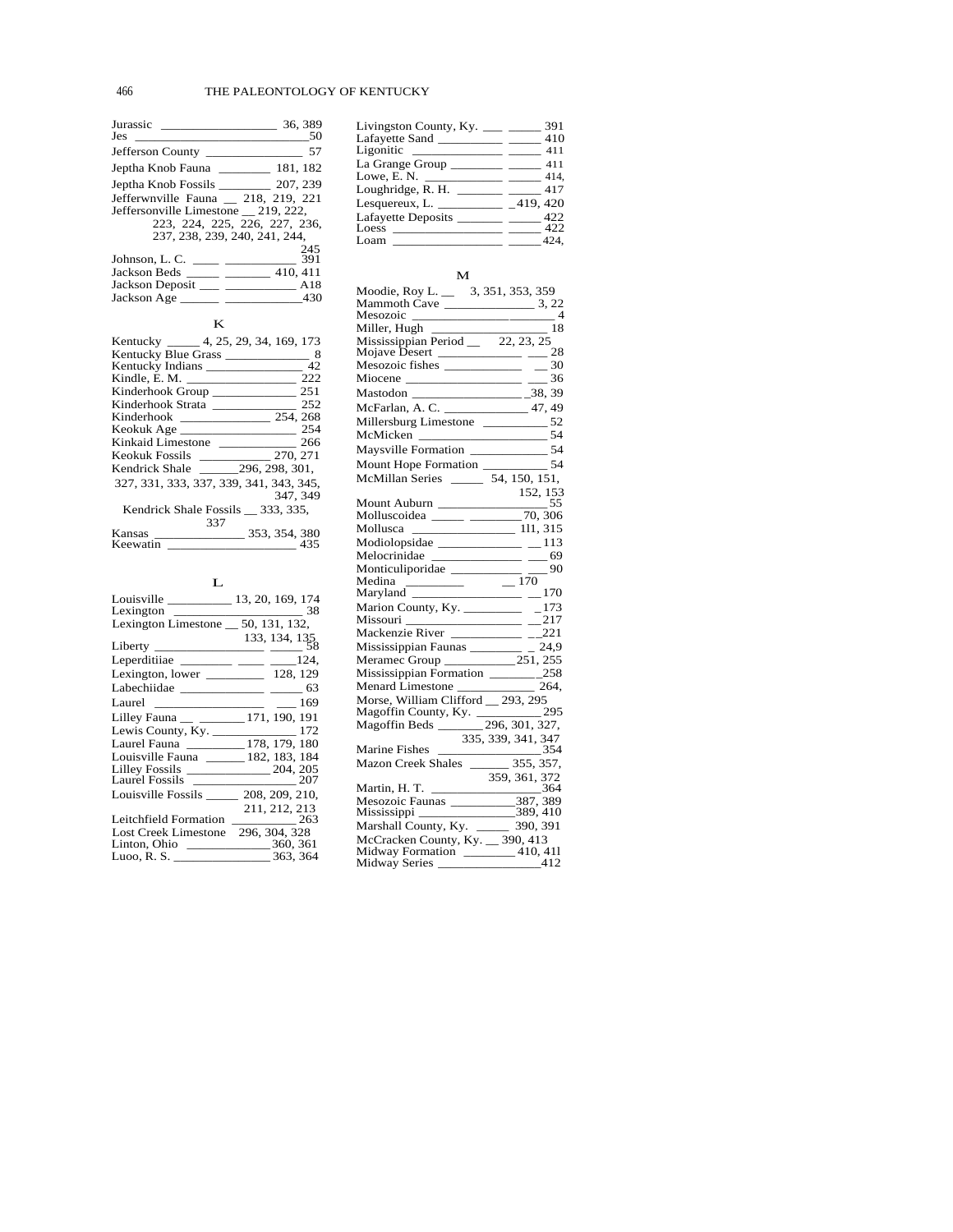| Jurassic<br>Jes<br>the control of the control of the control of | 36, 389<br>50 |
|-----------------------------------------------------------------|---------------|
| Jefferson County                                                | 57            |
|                                                                 |               |
|                                                                 |               |
| Jefferwnyille Fauna 218, 219, 221                               |               |
| Jeffersonville Limestone 219, 222,                              |               |
| 223, 224, 225, 226, 227, 236,<br>237, 238, 239, 240, 241, 244,  |               |
| Johnson, L. C.                                                  | 245<br>391    |
|                                                                 | 410.411       |
| Jackson Deposit ____ ________________ A18                       |               |
|                                                                 | 430           |

# K

| Kentucky _____ 4, 25, 29, 34, 169, 173                        |
|---------------------------------------------------------------|
| Kentucky Blue Grass<br>8                                      |
| Kentucky Indians<br>42                                        |
| 222<br>Kindle, E. M.                                          |
| 251<br>Kinderhook Group                                       |
| 252<br>Kinderhook Strata                                      |
| 254, 268<br>Kinderhook _____________                          |
| 254                                                           |
| Kinkaid Limestone<br>266<br>the company of the company of the |
| <b>Keokuk Fossils</b><br>270, 271                             |
| 296, 298, 301,<br>Kendrick Shale                              |
| 327, 331, 333, 337, 339, 341, 343, 345,                       |
| 347, 349                                                      |
| Kendrick Shale Fossils 333, 335,                              |
| 337                                                           |
| 353, 354, 380<br>Kansas<br>and the company of the company     |
| Keewatin<br>435                                               |

# L

| Lexington $\frac{1}{\sqrt{1-\frac{1}{2}}\left(1-\frac{1}{2}\right)}$ | $\sim$ 38     |
|----------------------------------------------------------------------|---------------|
| Lexington Limestone $\_\$ 50, 131, 132,                              |               |
|                                                                      | 133, 134, 135 |
|                                                                      |               |
| Lexington, lower $\_\_\_\_\_\_$ 128, 129                             |               |
|                                                                      |               |
|                                                                      |               |
| Lilley Fauna __ ________ 171, 190, 191                               |               |
| Lewis County, Ky. $\frac{172}{27}$                                   |               |
| Laurel Fauna __________178, 179, 180                                 |               |
| Louisville Fauna ______ 182, 183, 184                                |               |
|                                                                      |               |
|                                                                      |               |
| Louisville Fossils 208, 209, 210,                                    |               |
|                                                                      | 211, 212, 213 |
| Leitchfield Formation 263                                            |               |
| Lost Creek Limestone                                                 | 296, 304, 328 |
|                                                                      |               |
|                                                                      |               |

| Livingston County, Ky.          | 391      |
|---------------------------------|----------|
| Lafayette Sand                  | 410      |
| Ligonitic                       | 411      |
| La Grange Group $\qquad \qquad$ | 411      |
| Lowe, E.N.                      | 414.     |
| Loughridge, R. H.               | 417      |
|                                 | 419, 420 |
| Lafayette Deposits _            | 422      |
| Loess                           | 422      |
| Loam                            | 424.     |

## M

| Miocene ______________________ ____ 36                                                                             |
|--------------------------------------------------------------------------------------------------------------------|
|                                                                                                                    |
|                                                                                                                    |
|                                                                                                                    |
|                                                                                                                    |
| McMicken _______________________54<br>Maysville Formation ____________________54                                   |
|                                                                                                                    |
|                                                                                                                    |
| Mount Auburn $\frac{152, 153}{55}$<br>Molluscoidea $\frac{55}{100}$                                                |
|                                                                                                                    |
|                                                                                                                    |
| Mollusca ____________________ 111, 315                                                                             |
|                                                                                                                    |
| Melocrinidae _______________ ___69                                                                                 |
| Monticuliporidae $\frac{ }{ \qquad \qquad }$ 90<br>Medina $\frac{ }{ \qquad \qquad }$ $\frac{90}{ \qquad \qquad }$ |
| Medina $\frac{170}{\text{Maryland}}$ $\frac{170}{\text{Mayland}}$ 70                                               |
|                                                                                                                    |
|                                                                                                                    |
|                                                                                                                    |
|                                                                                                                    |
| Mississippian Faunas<br>Meramec Group<br>251, 255<br>Mississippian Formation<br>258<br>258                         |
|                                                                                                                    |
|                                                                                                                    |
| Menard Limestone 264,<br>Morse, William Clifford 293, 295                                                          |
|                                                                                                                    |
|                                                                                                                    |
|                                                                                                                    |
| Magoffin County, Ky. 295, 295<br>Magoffin Beds 296, 301, 327,<br>335, 339, 341, 347                                |
| Marine Fishes<br>Mazon Creek Shales 355, 357, 358, 357,                                                            |
|                                                                                                                    |
|                                                                                                                    |
|                                                                                                                    |
|                                                                                                                    |
|                                                                                                                    |
|                                                                                                                    |
| Midway Formation _______ 410, 411                                                                                  |
|                                                                                                                    |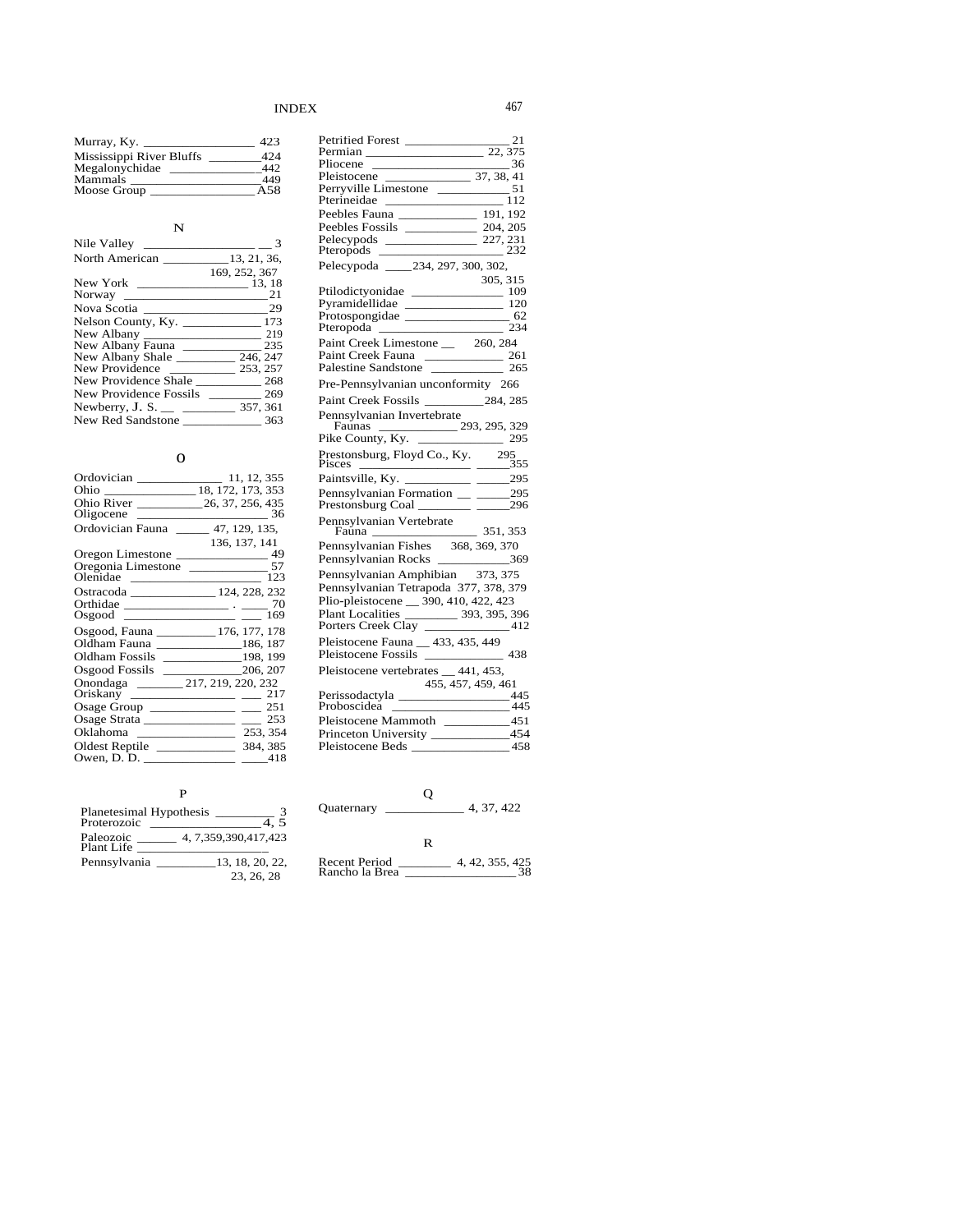| Murray, $Ky.$            | 423 |
|--------------------------|-----|
| Mississippi River Bluffs | 424 |
| Megalonychidae           | 442 |
| Mammals                  | 449 |
| Moose Group              | A58 |

#### N

| Nile Valley                |                 |
|----------------------------|-----------------|
|                            |                 |
|                            | 169, 252, 367   |
| New York                   | 13, 18          |
|                            | 21              |
| Nova Scotia                | 29              |
| Nelson County, Ky.         | 173             |
| New Albany                 | 219             |
| New Albany Fauna           | 235             |
| New Albany Shale           | 246, 247        |
| New Providence             | 253, 257        |
| New Providence Shale       | $\frac{1}{268}$ |
| New Providence Fossils     | 269             |
| Newberry, J. S. $\_\_\_\_$ | 357, 361        |
| New Red Sandstone          | 363             |

### o

| Ordovician                                 | 11, 12, 355                                             |
|--------------------------------------------|---------------------------------------------------------|
|                                            |                                                         |
|                                            |                                                         |
|                                            |                                                         |
| Ordovician Fauna 47, 129, 135,             |                                                         |
|                                            | 136, 137, 141                                           |
| Oregon Limestone                           | 49                                                      |
| Oregonia Limestone ___________             | 57                                                      |
| Olenidae                                   | 123<br><u> 1980 - Andrea Andrew Maria III (m. 1951)</u> |
| Ostracoda __________________ 124, 228, 232 |                                                         |
|                                            |                                                         |
|                                            | 169                                                     |
|                                            |                                                         |
| Oldham Fauna ______________186, 187        |                                                         |
|                                            |                                                         |
| Osgood Fossils ________                    | 206, 207                                                |
| Onondaga 217, 219, 220, 232                |                                                         |
| Oriskany _____________________             | 217                                                     |
| Osage Group _______________________        | 251                                                     |
| Osage Strata ______________ __ 253         |                                                         |
|                                            | 253, 354                                                |
| Oldest Reptile                             | 384, 385                                                |
|                                            | 418                                                     |

# P

| Planetesimal Hypothesis       |
|-------------------------------|
| 4, 7, 359, 390, 417, 423      |
| 13, 18, 20, 22,<br>23, 26, 28 |
|                               |

| Petrified Forest 21<br>Permian 22, 375                                                                                     |
|----------------------------------------------------------------------------------------------------------------------------|
|                                                                                                                            |
| $-$ 36                                                                                                                     |
| Pleistocene 37, 38, 41<br>Perryville Limestone 51<br>Pterineidae 112<br>Peebles Fauna 191, 192<br>Peebles Factile 191, 192 |
|                                                                                                                            |
|                                                                                                                            |
|                                                                                                                            |
|                                                                                                                            |
| Pelecypods 227, 231<br>Pteropods 232                                                                                       |
|                                                                                                                            |
| Pelecypoda ______234, 297, 300, 302,                                                                                       |
| 305, 315                                                                                                                   |
|                                                                                                                            |
| Pyramidellidae 120<br>Protospongidae 120<br>62                                                                             |
|                                                                                                                            |
|                                                                                                                            |
| Paint Creek Limestone 260, 284                                                                                             |
|                                                                                                                            |
|                                                                                                                            |
| Pre-Pennsylvanian unconformity 266                                                                                         |
|                                                                                                                            |
| Pennsylvanian Invertebrate                                                                                                 |
| Faunas 293, 295, 329<br>Pike County, Ky. 295, 329                                                                          |
|                                                                                                                            |
|                                                                                                                            |
|                                                                                                                            |
|                                                                                                                            |
| Pennsylvanian Vertebrate<br>Fauna 251, 353<br>Pennsylvanian Fishes 368, 369, 370<br>Pennsylvanian Rocks 269, 369           |
|                                                                                                                            |
|                                                                                                                            |
| Pennsylvanian Amphibian 373, 375                                                                                           |
|                                                                                                                            |
| Pennsylvanian Tetrapoda 377, 378, 379                                                                                      |
| Plio-pleistocene __ 390, 410, 422, 423                                                                                     |
|                                                                                                                            |
| Plant Localities 393, 395, 396<br>Porters Creek Clay 393, 395, 396<br>Pleistocene Fauna 433, 435, 449                      |
|                                                                                                                            |
|                                                                                                                            |
|                                                                                                                            |
| 455, 457, 459, 461<br>Perissodactyla (155, 457, 459, 461)                                                                  |
|                                                                                                                            |
|                                                                                                                            |
| Pleistocene Mammoth ___________451                                                                                         |
| Princeton University _______________454                                                                                    |
| Pleistocene Beds _______________<br>458                                                                                    |

Q Quaternary  $\frac{8}{\sqrt{37}}$  4, 37, 422

R

Recent Period \_\_\_\_\_\_\_\_ 4, 42, 355, 425 Rancho la Brea \_\_\_\_\_\_\_\_\_\_\_\_\_\_\_\_\_ 38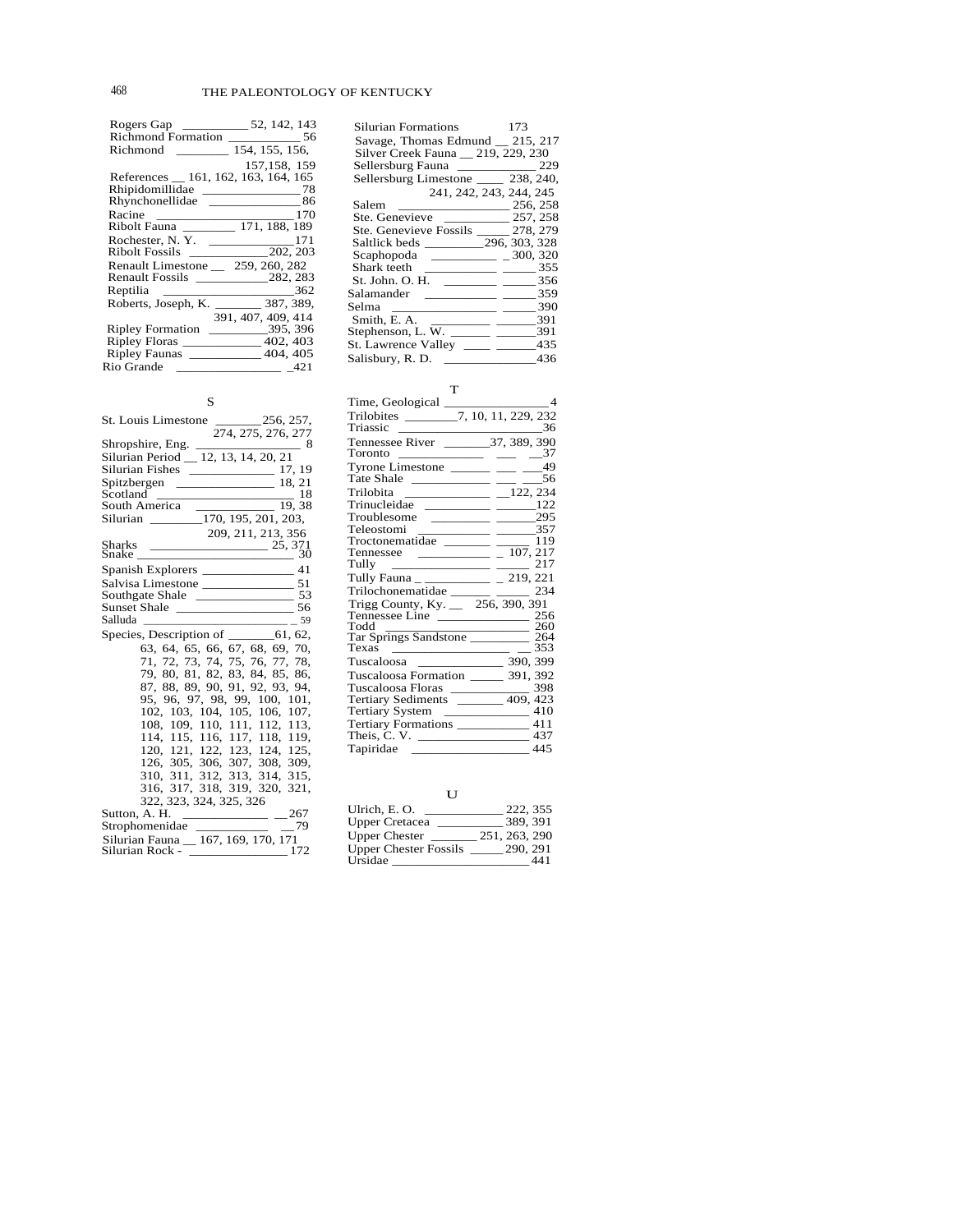| Richmond                               | 154, 155, 156,                       |
|----------------------------------------|--------------------------------------|
|                                        | 157, 158, 159                        |
|                                        | References _ 161, 162, 163, 164, 165 |
| Rhipidomillidae                        | $\frac{1}{2}$ 78                     |
| Rhynchonellidae                        | $\frac{1}{2}$ 86                     |
| Racine $\qquad$                        | 170                                  |
|                                        | Ribolt Fauna ________ 171, 188, 189  |
|                                        | Rochester, N.Y. ________________171  |
| Ribolt Fossils                         | 202, 203                             |
| Renault Limestone 259, 260, 282        |                                      |
|                                        | Renault Fossils 282, 283             |
|                                        | 362                                  |
| Roberts, Joseph, K.                    | 387, 389,                            |
|                                        | 391, 407, 409, 414                   |
| <b>Ripley Formation</b>                | $\frac{395,396}{2}$                  |
| Ripley Floras _______________ 402, 403 |                                      |
| Ripley Faunas _____________ 404, 405   |                                      |
| Rio Grande 421                         |                                      |
|                                        |                                      |

S

| 274, 275, 276, 277                                                |
|-------------------------------------------------------------------|
| Shropshire, Eng.<br>$\frac{1}{\sqrt{2}}$ 8                        |
| Silurian Period _ 12, 13, 14, 20, 21                              |
|                                                                   |
|                                                                   |
| $\frac{\text{Scotland}}{\text{Scotland}}$<br>18                   |
|                                                                   |
| South America 170, 195, 201, 203,<br>Silurian 170, 195, 201, 203, |
| 209, 211, 213, 356                                                |
|                                                                   |
|                                                                   |
| Spanish Explorers ________________ 41                             |
|                                                                   |
|                                                                   |
|                                                                   |
|                                                                   |
| Species, Description of _________61, 62,                          |
| 63, 64, 65, 66, 67, 68, 69, 70,                                   |
| 71, 72, 73, 74, 75, 76, 77, 78,                                   |
| 79, 80, 81, 82, 83, 84, 85, 86,                                   |
| 87, 88, 89, 90, 91, 92, 93, 94,                                   |
| 95, 96, 97, 98, 99, 100, 101,                                     |
| 102, 103, 104, 105, 106, 107,                                     |
| 108, 109, 110, 111, 112, 113,                                     |
| 114, 115, 116, 117, 118, 119,                                     |
| 120, 121, 122, 123, 124, 125,                                     |
| 126, 305, 306, 307, 308, 309,                                     |
| 310, 311, 312, 313, 314, 315,                                     |
| 316, 317, 318, 319, 320, 321,                                     |
| 322, 323, 324, 325, 326                                           |
| Sutton, A. H.<br>$\frac{1}{267}$                                  |
| Strophomenidae<br>- 79                                            |
| Silurian Fauna _ 167, 169, 170, 171                               |
| Silurian Rock - _______________<br>172                            |

| Silurian Formations                    | 173                           |
|----------------------------------------|-------------------------------|
| Savage, Thomas Edmund _ 215, 217       |                               |
| Silver Creek Fauna 219, 229, 230       |                               |
| Sellersburg Fauna                      | 229                           |
| Sellersburg Limestone ______ 238, 240, |                               |
| 241, 242, 243, 244, 245                |                               |
| Salem                                  | 256, 258                      |
| Ste. Genevieve                         | 257, 258                      |
| Ste. Genevieve Fossils 278, 279        |                               |
| Saltlick beds 296, 303, 328            |                               |
| Scaphopoda _________ _ _300, 320       |                               |
|                                        | 355                           |
| St. John. O. H.                        | $\frac{1}{2}$ $\frac{356}{2}$ |
| Salamander                             | 359                           |
| Selma                                  | - 390                         |
| Smith, E. A.                           | 391                           |
| Stephenson, L. W.<br>المستنبذ المستنبذ | 391                           |
| St. Lawrence Valley _____ ___          | 435                           |
| Salisbury, R. D.                       | 436                           |

#### T

|                                                                                                                                                                                                                                                                                                                                                       | $\overline{4}$    |
|-------------------------------------------------------------------------------------------------------------------------------------------------------------------------------------------------------------------------------------------------------------------------------------------------------------------------------------------------------|-------------------|
| Trilobites $\frac{1}{\sqrt{7}}$ , 10, 11, 229, 232                                                                                                                                                                                                                                                                                                    |                   |
|                                                                                                                                                                                                                                                                                                                                                       | - 36              |
|                                                                                                                                                                                                                                                                                                                                                       |                   |
| Toronto ____________ ___ __37                                                                                                                                                                                                                                                                                                                         |                   |
| Tyrone Limestone ______ __ __ $-$ 49                                                                                                                                                                                                                                                                                                                  |                   |
| Tate Shale ______________ ____ 56                                                                                                                                                                                                                                                                                                                     |                   |
|                                                                                                                                                                                                                                                                                                                                                       |                   |
| $Trinucleidae$ $\qquad \qquad$ $\qquad \qquad$ $\qquad \qquad$ $\qquad$ $\qquad$ $\qquad$ $\qquad$ $\qquad$ $\qquad$ $\qquad$ $\qquad$ $\qquad$ $\qquad$ $\qquad$ $\qquad$ $\qquad$ $\qquad$ $\qquad$ $\qquad$ $\qquad$ $\qquad$ $\qquad$ $\qquad$ $\qquad$ $\qquad$ $\qquad$ $\qquad$ $\qquad$ $\qquad$ $\qquad$ $\qquad$ $\qquad$ $\qquad$ $\qquad$ |                   |
| Troublesome $\frac{\qquad \qquad }{295}$                                                                                                                                                                                                                                                                                                              |                   |
| Teleostomi $\frac{357}{119}$                                                                                                                                                                                                                                                                                                                          |                   |
|                                                                                                                                                                                                                                                                                                                                                       |                   |
|                                                                                                                                                                                                                                                                                                                                                       |                   |
| Tully                                                                                                                                                                                                                                                                                                                                                 |                   |
| Tully Fauna _ _____________ _ 219, 221                                                                                                                                                                                                                                                                                                                |                   |
| Trilochonematidae ______ _____ 234                                                                                                                                                                                                                                                                                                                    |                   |
| Trigg County, Ky. $\_\_$ 256, 390, 391                                                                                                                                                                                                                                                                                                                |                   |
|                                                                                                                                                                                                                                                                                                                                                       |                   |
|                                                                                                                                                                                                                                                                                                                                                       |                   |
| Tar Springs Sandstone 260<br>Texas 264                                                                                                                                                                                                                                                                                                                |                   |
|                                                                                                                                                                                                                                                                                                                                                       |                   |
|                                                                                                                                                                                                                                                                                                                                                       |                   |
| Tuscaloosa Formation ______ 391, 392                                                                                                                                                                                                                                                                                                                  |                   |
| Tuscaloosa Floras 2008 398<br>Tertiary Sediments 2009, 423                                                                                                                                                                                                                                                                                            |                   |
|                                                                                                                                                                                                                                                                                                                                                       |                   |
| Tertiary System ____________________ 410                                                                                                                                                                                                                                                                                                              |                   |
| Tertiary Formations _______________ 411                                                                                                                                                                                                                                                                                                               |                   |
|                                                                                                                                                                                                                                                                                                                                                       |                   |
| Tapiridae                                                                                                                                                                                                                                                                                                                                             | $\frac{1}{2}$ 445 |

# U

| Ulrich, E. O.                | 222, 355      |
|------------------------------|---------------|
| <b>Upper Cretacea</b>        | 389.391       |
| <b>Upper Chester</b>         | 251, 263, 290 |
| <b>Upper Chester Fossils</b> | 290, 291      |
| Ursidae                      | 441           |